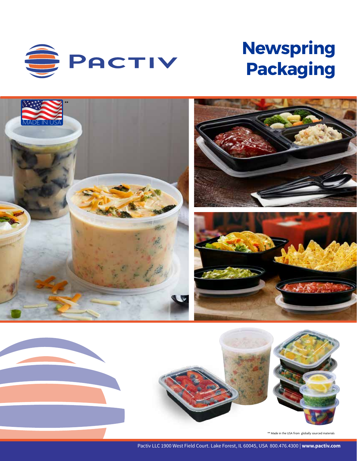

# **Newspring Packaging**







\*\* Made in the USA from globally sourced materials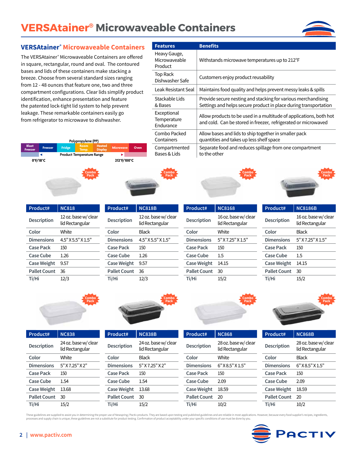# **VERSAtainer® Microwaveable Containers**



### **VERSAtainer® Microwaveable Containers**

The VERSAtainer® Microwaveable Containers are offered in square, rectangular, round and oval. The contoured bases and lids of these containers make stacking a breeze. Choose from several standard sizes ranging from 12 - 48 ounces that feature one, two and three compartment configurations. Clear lids simplify product identification, enhance presentation and feature the patented lock-tight lid system to help prevent leakage. These remarkable containers easily go from refrigerator to microwave to dishwasher.

| <b>Features</b>                          | <b>Benefits</b>                                                                                                                      |
|------------------------------------------|--------------------------------------------------------------------------------------------------------------------------------------|
| Heavy Gauge,<br>Microwaveable<br>Product | Withstands microwave temperatures up to 212°F                                                                                        |
| <b>Top Rack</b><br>Dishwasher Safe       | Customers enjoy product reusability                                                                                                  |
| Leak Resistant Seal                      | Maintains food quality and helps prevent messy leaks & spills                                                                        |
| Stackable Lids<br>& Bases                | Provide secure nesting and stacking for various merchandising<br>Settings and helps secure product in place during transportation    |
| Exceptional<br>Temperature<br>Endurance  | Allow products to be used in a multitude of applications, both hot<br>and cold. Can be stored in freezer, refrigerated or microwaved |
| Combo Packed<br>Containers               | Allow bases and lids to ship together in smaller pack<br>quantities and takes up less shelf space                                    |
| Compartmented<br>Bases & Lids            | Separate food and reduces spillage from one compartment<br>to the other                                                              |









| Product#           | <b>NC818</b>                            |  |
|--------------------|-----------------------------------------|--|
| <b>Description</b> | 12 oz. base w/ clear<br>lid Rectangular |  |
| Color              | White                                   |  |
| <b>Dimensions</b>  | 4.5" X 5.5" X 1.5"                      |  |
| Case Pack          | 150                                     |  |
| Case Cube          | 1.26                                    |  |
| <b>Case Weight</b> | 9.57                                    |  |
| Pallet Count       | 36                                      |  |
| Ti/Hi              |                                         |  |



| Product#            | <b>NC8168</b>                           |
|---------------------|-----------------------------------------|
| <b>Description</b>  | 16 oz. base w/ clear<br>lid Rectangular |
| Color               | White                                   |
| <b>Dimensions</b>   | 5" X 7.25" X 1.5"                       |
| Case Pack           | 150                                     |
| Case Cube           | 1.5                                     |
| <b>Case Weight</b>  | 14.15                                   |
| <b>Pallet Count</b> | 30                                      |
| Ti/Hi               | 15/2                                    |

| Product#           | <b>NC8186B</b>                          |  |
|--------------------|-----------------------------------------|--|
| <b>Description</b> | 16 oz. base w/ clear<br>lid Rectangular |  |
| Color              | Black                                   |  |
| <b>Dimensions</b>  | 5" X 7.25" X 1.5"                       |  |
| <b>Case Pack</b>   | 150                                     |  |
| Case Cube          | 1.5                                     |  |
| <b>Case Weight</b> | 14.15                                   |  |
| Pallet Count       | 30                                      |  |
| Ti/Hi              | 15,                                     |  |









| Product#           | <b>NC838</b>                            | Product#            | <b>NC838B</b>                           | Product#            | <b>NC868</b>                            | Product#            | <b>NC868B</b>                           |
|--------------------|-----------------------------------------|---------------------|-----------------------------------------|---------------------|-----------------------------------------|---------------------|-----------------------------------------|
| <b>Description</b> | 24 oz. base w/ clear<br>lid Rectangular | <b>Description</b>  | 24 oz. base w/ clear<br>lid Rectangular | <b>Description</b>  | 28 oz. base w/ clear<br>lid Rectangular | <b>Description</b>  | 28 oz. base w/ clear<br>lid Rectangular |
| Color              | White                                   | Color               | <b>Black</b>                            | Color               | White                                   | Color               | <b>Black</b>                            |
| <b>Dimensions</b>  | $5"$ X 7.25" X 2"                       | <b>Dimensions</b>   | 5"X7.25"X2"                             | <b>Dimensions</b>   | $6"$ X 8.5" X 1.5"                      | <b>Dimensions</b>   | 6" X 8.5" X 1.5"                        |
| <b>Case Pack</b>   | 150                                     | <b>Case Pack</b>    | 150                                     | Case Pack           | 150                                     | Case Pack           | 150                                     |
| Case Cube          | 1.54                                    | Case Cube           | 1.54                                    | Case Cube           | 2.09                                    | Case Cube           | 2.09                                    |
| <b>Case Weight</b> | 13.68                                   | <b>Case Weight</b>  | 13.68                                   | <b>Case Weight</b>  | 18.59                                   | <b>Case Weight</b>  | 18.59                                   |
| Pallet Count 30    |                                         | <b>Pallet Count</b> | -30                                     | <b>Pallet Count</b> | - 20                                    | <b>Pallet Count</b> | -20                                     |
| Ti/Hi              | 15/2                                    | Ti/Hi               | 15/2                                    | Ti/Hi               | 10/2                                    | Ti/Hi               | 10/2                                    |

These guidelines are supplied to assist you in determining the proper use of Newspring / Pactiv products. They are based upon testing and published guidelines and are reliable in most applications. However, because every f

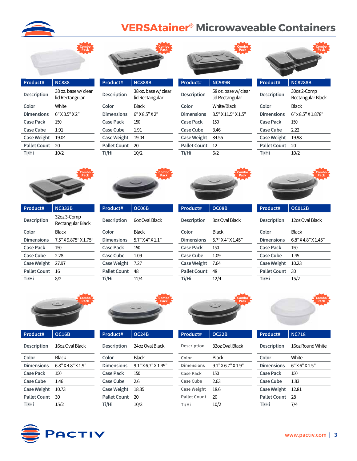

### **VERSAtainer® Microwaveable Containers**



| Product#           | <b>NC888</b>                            |  |
|--------------------|-----------------------------------------|--|
| <b>Description</b> | 38 oz. base w/ clear<br>lid Rectangular |  |
| Color              | White                                   |  |
| <b>Dimensions</b>  | 6" X 8.5" X 2"                          |  |
| Case Pack          | 150                                     |  |
| Case Cube          | 1.91                                    |  |
| <b>Case Weight</b> | 19.04                                   |  |
| Pallet Count       | 20                                      |  |
| Ti/Hi              | 10,                                     |  |



| Product#           | <b>NC888B</b>                           |
|--------------------|-----------------------------------------|
| <b>Description</b> | 38 oz. base w/ clear<br>lid Rectangular |
| Color              | Black                                   |
| <b>Dimensions</b>  | 6" X 8.5" X 2"                          |
| Case Pack          | 150                                     |
| Case Cube          | 1.91                                    |
| <b>Case Weight</b> | 19.04                                   |
| Pallet Count       | 20                                      |
| Ti/Hi              | 10/2                                    |



| Product#           | <b>NC989B</b>                           |  |
|--------------------|-----------------------------------------|--|
| <b>Description</b> | 58 oz. base w/ clear<br>lid Rectangular |  |
| Color              | White/Black                             |  |
| <b>Dimensions</b>  | $8.5$ " $X$ 11.5" $X$ 1.5"              |  |
| Case Pack          | 150                                     |  |
| Case Cube          | 3.46                                    |  |
| <b>Case Weight</b> | 34.55                                   |  |
| Pallet Count       | 12                                      |  |
| Ti/Hi              |                                         |  |



| Product#           | <b>NC8288B</b>                   |  |
|--------------------|----------------------------------|--|
| <b>Description</b> | 30oz 2-Comp<br>Rectangular Black |  |
| Color              | Black                            |  |
| <b>Dimensions</b>  | 6" x 8.5" X 1.878"               |  |
| Case Pack          | 150                              |  |
| Case Cube          | 222                              |  |
| <b>Case Weight</b> | 19.98                            |  |
| Pallet Count       | 20                               |  |
| Ti/Hi              | 10/2                             |  |









| Product#           | <b>NC333B</b>                    |  |
|--------------------|----------------------------------|--|
| <b>Description</b> | 32oz 3-Comp<br>Rectangular Black |  |
| Color              | Black                            |  |
| <b>Dimensions</b>  | 7.5" X 9.875" X 1.75"            |  |
| Case Pack          | 150                              |  |
| Case Cube          | 2.28                             |  |
| <b>Case Weight</b> | 27.97                            |  |
| Pallet Count       | 16                               |  |
| Ti/Hi              |                                  |  |





| Product#           | <b>OC012B</b>       |  |
|--------------------|---------------------|--|
| Description        | 12oz Oval Black     |  |
| Color              | Black               |  |
| <b>Dimensions</b>  | 6.8" X 4.8" X 1.45" |  |
| Case Pack          | 150                 |  |
| Case Cube          | 1.45                |  |
| <b>Case Weight</b> | 10.23               |  |
| Pallet Count       | 30                  |  |
| Ti/Hi              | 15/2                |  |





**Pallet Count** 30 **Ti/Hi** 15/2







**Pallet Count** 20 **Ti/Hi** 10/2





| Product#            | <b>OC32B</b>          | Product#            | <b>NC718</b>     |  |
|---------------------|-----------------------|---------------------|------------------|--|
| Description         | 32oz Oval Black       | <b>Description</b>  | 16oz Round White |  |
| Color               | <b>Black</b>          | Color               | White            |  |
| <b>Dimensions</b>   | $9.1$ " X 6.7" X 1.9" | <b>Dimensions</b>   | 6"X6"X1.5"       |  |
| Case Pack           | 150                   | <b>Case Pack</b>    | 150              |  |
| Case Cube           | 2.63                  | <b>Case Cube</b>    | 1.83             |  |
| Case Weight         | 18.6                  | <b>Case Weight</b>  | 12.81            |  |
| <b>Pallet Count</b> | 20                    | <b>Pallet Count</b> | 28               |  |
| Ti/Hi               | 10/2                  | Ti/Hi               | 7/4              |  |

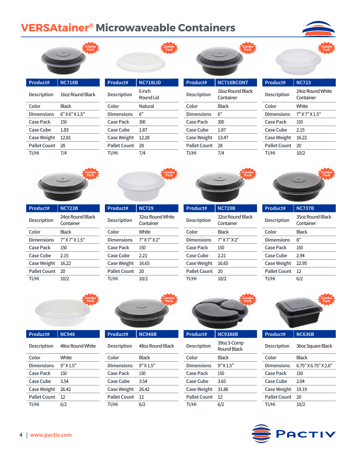### **VERSAtainer® Microwaveable Containers**



| Product#           | <b>NC718B</b>    |
|--------------------|------------------|
| <b>Description</b> | 16oz Round Black |
| Color              | Black            |
| <b>Dimensions</b>  | 6" X 6" X 1.5"   |
| Case Pack          | 150              |
| Case Cube          | 1.83             |
| <b>Case Weight</b> | 12.81            |
| Pallet Count       | 28               |
| Ti/Hi              | 7/4              |

| Product#            | NC718LID            |
|---------------------|---------------------|
| <b>Description</b>  | 6 inch<br>Round Lid |
| Color               | Natural             |
| <b>Dimensions</b>   | ና"                  |
| Case Pack           | 300                 |
| Case Cube           | 1.87                |
| <b>Case Weight</b>  | 12.28               |
| <b>Pallet Count</b> | 28                  |
| Ti/Hi               | 7/4                 |



**Color** Black **Dimensions** 6" **Case Pack** 300 **Case Cube** 1.87 **Case Weight** 13.47 **Pallet Count** 28 **Ti/Hi** 7/4

| Product#           | <b>NC723</b>                  |  |  |
|--------------------|-------------------------------|--|--|
| <b>Description</b> | 24oz Round White<br>Container |  |  |
| Color              | White                         |  |  |
| <b>Dimensions</b>  | $7"$ X $7"$ X $1.5"$          |  |  |
| Case Pack          | 150                           |  |  |
| Case Cube          | 2.15                          |  |  |
| <b>Case Weight</b> | 16.22                         |  |  |
| Pallet Count       | 20                            |  |  |
| Ti/Hi              | 10/2                          |  |  |

**Pack**



| Product#            | <b>NC723B</b>                 |
|---------------------|-------------------------------|
| <b>Description</b>  | 24oz Round Black<br>Container |
| Color               | Black                         |
| <b>Dimensions</b>   | 7" X 7" X 1.5"                |
| Case Pack           | 150                           |
| Case Cube           | 2.15                          |
| <b>Case Weight</b>  | 16.22                         |
| <b>Pallet Count</b> | 20                            |
| Ti/Hi               | 10/2                          |



**Case Cube** 2.21 **Case Weight** 16.65 **Pallet Count** 20 **Ti/Hi** 10/2



| Product#            | <b>NC729B</b>                 |
|---------------------|-------------------------------|
| <b>Description</b>  | 32oz Round Black<br>Container |
| Color               | Black                         |
| <b>Dimensions</b>   | $7"$ X $7"$ X $2"$            |
| Case Pack           | 150                           |
| Case Cube           | 2.21                          |
| <b>Case Weight</b>  | 16.65                         |
| <b>Pallet Count</b> | 20                            |
| Ti/Hi               | 10/2                          |



| Product#           | <b>NC737B</b>                 |
|--------------------|-------------------------------|
| <b>Description</b> | 35oz Round Black<br>Container |
| Color              | Black                         |
| <b>Dimensions</b>  | יי8                           |
| Case Pack          | 150                           |
| Case Cube          | 2.94                          |
| <b>Case Weight</b> | 22.95                         |
| Pallet Count       | 12                            |
| Ti/Hi              |                               |



| Product# |                    | <b>NC948</b>     |
|----------|--------------------|------------------|
|          | <b>Description</b> | 48oz Round White |
|          | Color              | White            |
|          | <b>Dimensions</b>  | $9"$ X 1.5"      |
|          | Case Pack          | 150              |
|          | Case Cube          | 3.54             |
|          | <b>Case Weight</b> | 26.42            |
|          | Pallet Count       | 12               |
|          | Ti/Hi              |                  |



|           | Product#           | <b>NC948B</b>    |
|-----------|--------------------|------------------|
|           | <b>Description</b> | 48oz Round Black |
|           | Color              | Black            |
|           | <b>Dimensions</b>  | 9"X1.5"          |
| Case Pack |                    | 150              |
|           | Case Cube          | 3.54             |
|           | <b>Case Weight</b> | 26.42            |
|           | Pallet Count       | 12               |
|           | Ti/Hi              |                  |



| Product#            | <b>NC9388B</b>             |
|---------------------|----------------------------|
| <b>Description</b>  | 39oz 3-Comp<br>Round Black |
| Color               | Black                      |
| <b>Dimensions</b>   | 9"X1.5"                    |
| Case Pack           | 150                        |
| Case Cube           | 3.65                       |
| Case Weight         | 31.86                      |
| <b>Pallet Count</b> | 12                         |
| Ti/Hi               | 6/2                        |



| <b>Description</b> | 36oz Square Black    |
|--------------------|----------------------|
| Color              | Black                |
| Dimensions         | 6.75" X 6.75" X 2.6" |
| Case Pack          | 150                  |
| Case Cube          | 2.04                 |
| <b>Case Weight</b> | 19.19                |
| Pallet Count       | 20                   |
| Ti/Hi              | 10/2                 |
|                    |                      |



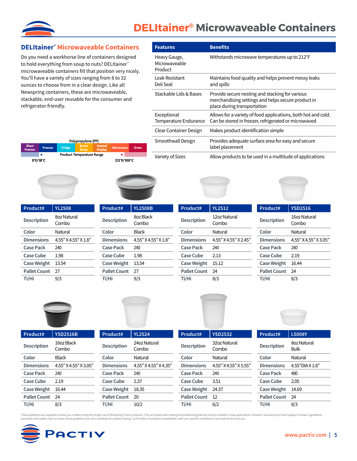

### **DELItainer® Microwaveable Containers**

#### **Product# YL2508 Description** 8oz Natural Combo **Color** Natural **Dimensions** 4.55" X 4.55" X 1.8" **Case Pack** 240 **Case Cube** 1.98 **Case Weight** 13.54 **Pallet Count** 27 **Ti/Hi** 9/3 **Product# YL2508B Description** 8oz Black Combo **Color** Black **Dimensions** 4.55" X 4.55" X 1.8" **Case Pack** 240 **Case Cube** 1.98 **Case Weight** 13.54 **Pallet Count** 27 **Ti/Hi** 9/3 **Product# YL2512 Description** 12oz Natural Combo **Color** Natural **Dimensions** 4.55" X 4.55" X 2.45" **Case Pack** 240 **Case Cube** 2.13 **Case Weight** 15.12 **Pallet Count** 24 **Ti/Hi** 8/3 **Product# YSD2516 Description** 16oz Natural Combo **Color** Natural **Dimensions** 4.55" X 4.55" X 3.05" **Case Pack** 240 **Case Cube** 2.19 **Case Weight** 16.44 **Pallet Count** 24 **Ti/Hi** 8/3 **Features Benefits** Heavy Gauge, Microwaveable Product Withstands microwave temperatures up to 212°F Leak Resistant Deli Seal Maintains food quality and helps prevent messy leaks and spills Stackable Lids & Bases Provide secure nesting and stacking for various merchandising settings and helps secure product in place during transportation Exceptional Temperature Endurance Allows for a variety of food applications, both hot and cold. Can be stored in freezer, refrigerated or microwaved Clear Container Design Makes product identification simple Smoothwall Design Provides adequate surface area for easy and secure label placement Variety of Sizes Allow products to be used in a multitude of applications **Polypropylene (PP) Blast Freezer Freezer Fridge Room Temp. Heated Display Microwave Oven ◀ Product Temperature Range ▶ 0°F/18°C 212°F/100°C DELItainer® Microwaveable Containers** Do you need a workhorse line of containers designed to hold everything from soup to nuts? DELItainer® microwaveable containers fill that position very nicely. You'll have a variety of sizes ranging from 8 to 32 ounces to choose from in a clear design. Like all Newspring containers, these are microwaveable, stackable, end-user reusable for the consumer and refrigerator-friendly.









| Product#           | <b>YSD2516B</b>       | Product#            | <b>YL2524</b>         | Product#            | <b>YSD2532</b>        | Product#            | <b>L5008Y</b>              |
|--------------------|-----------------------|---------------------|-----------------------|---------------------|-----------------------|---------------------|----------------------------|
| Description        | 16oz Black<br>Combo   | Description         | 24oz Natural<br>Combo | Description         | 32oz Natural<br>Combo | <b>Description</b>  | 8oz Natural<br><b>Bulk</b> |
| Color              | <b>Black</b>          | Color               | Natural               | Color               | Natural               | Color               | Natural                    |
| <b>Dimensions</b>  | 4.55" X 4.55" X 3.05" | <b>Dimensions</b>   | 4.55" X 4.55" X 4.35" | <b>Dimensions</b>   | 4.55" X 4.55" X 5.55" | <b>Dimensions</b>   | 4.55"DIA X 1.8"            |
| <b>Case Pack</b>   | 240                   | Case Pack           | 240                   | Case Pack           | 240                   | <b>Case Pack</b>    | 480                        |
| Case Cube          | 2.19                  | Case Cube           | 2.37                  | <b>Case Cube</b>    | 3.51                  | Case Cube           | 2.05                       |
| <b>Case Weight</b> | 16.44                 | <b>Case Weight</b>  | 18.35                 | <b>Case Weight</b>  | 24.37                 | Case Weight         | 14.69                      |
| Pallet Count 24    |                       | <b>Pallet Count</b> | -20                   | <b>Pallet Count</b> | -12                   | <b>Pallet Count</b> | - 24                       |
| Ti/Hi              | 8/3                   | Ti/Hi               | 10/2                  | Ti/Hi               | 6/2                   | Ti/Hi               | 8/3                        |

These guidelines are supplied to assist you in determining the proper use of Newspring / Pactiv products. They are based upon testing and published guidelines and are reliable in most applications. However, because every f

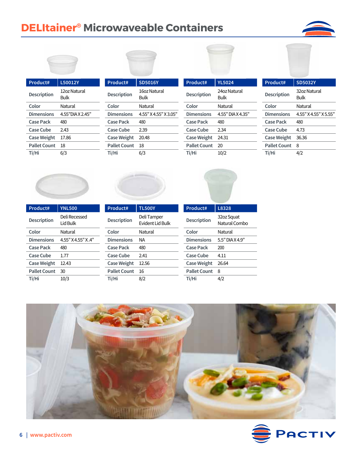# **DELItainer® Microwaveable Containers**





| Product#           | L50012Y              |
|--------------------|----------------------|
| <b>Description</b> | 12oz Natural<br>Bulk |
| Color              | Natural              |
| <b>Dimensions</b>  | 4.55"DIA X 2.45"     |
| Case Pack          | 480                  |
| Case Cube          | 2.43                 |
| <b>Case Weight</b> | 17.86                |
| Pallet Count       | 18                   |
| Ti/Hi              |                      |

| Product#            | <b>SD5016Y</b>        |  |
|---------------------|-----------------------|--|
| <b>Description</b>  | 1607 Natural<br>Bulk  |  |
| Color               | Natural               |  |
| <b>Dimensions</b>   | 4.55" X 4.55" X 3.05" |  |
| Case Pack           | 480                   |  |
| Case Cube           | 2.39                  |  |
| <b>Case Weight</b>  | 20.48                 |  |
| <b>Pallet Count</b> | 18                    |  |
| Ti/Hi               | 6/3                   |  |

| Product#           | <b>YL5024</b>        |
|--------------------|----------------------|
| <b>Description</b> | 24oz Natural<br>Bulk |
| Color              | Natural              |
| <b>Dimensions</b>  | 4.55" DIA X 4.35"    |
| Case Pack          | 480                  |
| Case Cube          | 2.34                 |
| <b>Case Weight</b> | 24.31                |
| Pallet Count       | 20                   |
| Ti/Hi              | 10/2                 |

| <b>SD5032Y</b>        |
|-----------------------|
| 32oz Natural<br>Bulk  |
| Natural               |
| 4.55" X 4.55" X 5.55" |
| 480                   |
| 4.73                  |
| 36.36                 |
| 8                     |
|                       |
|                       |







| Product#           | <b>YNL500</b>             |
|--------------------|---------------------------|
| <b>Description</b> | Deli Recessed<br>Lid Bulk |
| Color              | Natural                   |
| <b>Dimensions</b>  | 4.55" X 4.55" X .4"       |
| Case Pack          | 480                       |
| Case Cube          | 1.77                      |
| <b>Case Weight</b> | 12.43                     |
| Pallet Count       | 30                        |
| Ti/Hi              | 10/3                      |

| Product#            | <b>TL500Y</b>                   | Product#            | L8328                       |
|---------------------|---------------------------------|---------------------|-----------------------------|
| <b>Description</b>  | Deli Tamper<br>Evident Lid Bulk | <b>Description</b>  | 32oz Squat<br>Natural Combo |
| Color               | Natural                         | Color               | Natural                     |
| <b>Dimensions</b>   | NA.                             | <b>Dimensions</b>   | 5.5" DIA X 4.9"             |
| Case Pack           | 480                             | <b>Case Pack</b>    | 200                         |
| <b>Case Cube</b>    | 2.41                            | Case Cube           | 4.11                        |
| <b>Case Weight</b>  | 12.56                           | <b>Case Weight</b>  | 26.64                       |
| <b>Pallet Count</b> | 16                              | <b>Pallet Count</b> | 8                           |
| Ti/Hi               | 8/2                             | Ti/Hi               | 4/2                         |



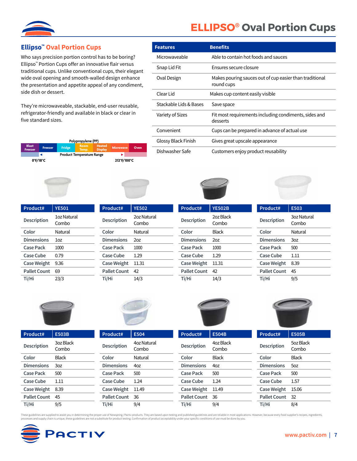

### **ELLIPSO® Oval Portion Cups**

### **Ellipso™ Oval Portion Cups**

Who says precision portion control has to be boring? Ellipso™ Portion Cups offer an innovative flair versus traditional cups. Unlike conventional cups, their elegant wide oval opening and smooth-walled design enhance the presentation and appetite appeal of any condiment, side dish or dessert.

They're microwaveable, stackable, end-user reusable, refrigerator-friendly and available in black or clear in five standard sizes.

| Polypropylene (PP)             |                |                                  |                      |                                 |                  |  |      |  |
|--------------------------------|----------------|----------------------------------|----------------------|---------------------------------|------------------|--|------|--|
| <b>Blast</b><br><b>Freezer</b> | <b>Freezer</b> | Fridge                           | <b>Room</b><br>Temp. | <b>Heated</b><br><b>Display</b> | <b>Microwave</b> |  | Oven |  |
|                                |                | <b>Product Temperature Range</b> |                      |                                 |                  |  |      |  |
|                                | 0°F/18°C       |                                  |                      |                                 | 212°F/100°C      |  |      |  |



| roduct#    | <b>YE502</b>         |
|------------|----------------------|
| escription | 2oz Natural<br>Combo |
| olor       | Natural              |
| imensions  | 2oz                  |
| ase Pack   | 1000                 |
| . <b>.</b> | $\sim$               |

| N |  |
|---|--|
| ¥ |  |

**Features Benefits**

Stackable Lids & Bases Save space

Microwaveable Able to contain hot foods and sauces

round cups

Clear Lid Makes cup content easily visible

desserts

Glossy Black Finish Gives great upscale appearance

Dishwasher Safe Customers enjoy product reusability

Oval Design Makes pouring sauces out of cup easier than traditional

Variety of Sizes Fit most requirements including condiments, sides and

Convenient Cups can be prepared in advance of actual use

Snap Lid Fit
Ensures secure closure



| Product#            | <b>YE501</b>         | Product#            | <b>YE502</b>         | Product#            | <b>YE502B</b>      | Product#            | E503                 |
|---------------------|----------------------|---------------------|----------------------|---------------------|--------------------|---------------------|----------------------|
| <b>Description</b>  | 1oz Natural<br>Combo | <b>Description</b>  | 2oz Natural<br>Combo | Description         | 2oz Black<br>Combo | <b>Description</b>  | 3oz Natural<br>Combo |
| Color               | Natural              | Color               | Natural              | Color               | <b>Black</b>       | Color               | Natural              |
| <b>Dimensions</b>   | 1 <sub>oz</sub>      | <b>Dimensions</b>   | 20z                  | <b>Dimensions</b>   | 2oz                | <b>Dimensions</b>   | 3 <sub>oz</sub>      |
| Case Pack           | 1000                 | Case Pack           | 1000                 | Case Pack           | 1000               | Case Pack           | 500                  |
| Case Cube           | 0.79                 | Case Cube           | 1.29                 | Case Cube           | 1.29               | Case Cube           | 1.11                 |
| <b>Case Weight</b>  | 9.36                 | <b>Case Weight</b>  | 11.31                | Case Weight         | 11.31              | <b>Case Weight</b>  | 8.39                 |
| <b>Pallet Count</b> | -69                  | <b>Pallet Count</b> | 42                   | <b>Pallet Count</b> | 42                 | <b>Pallet Count</b> | -45                  |
| Ti/Hi               | 23/3                 | Ti/Hi               | 14/3                 | Ti/Hi               | 14/3               | Ti/Hi               | 9/5                  |









| Product#           | <b>E503B</b>       | Product#            | E504                 | Product#            | <b>E504B</b>       | Product#            | <b>E505B</b>       |
|--------------------|--------------------|---------------------|----------------------|---------------------|--------------------|---------------------|--------------------|
| Description        | 3oz Black<br>Combo | <b>Description</b>  | 4oz Natural<br>Combo | <b>Description</b>  | 4oz Black<br>Combo | <b>Description</b>  | 5oz Black<br>Combo |
| Color              | <b>Black</b>       | Color               | Natural              | Color               | <b>Black</b>       | Color               | <b>Black</b>       |
| <b>Dimensions</b>  | 3oz                | <b>Dimensions</b>   | 4oz                  | <b>Dimensions</b>   | 4oz                | <b>Dimensions</b>   | 50 <sub>Z</sub>    |
| Case Pack          | 500                | <b>Case Pack</b>    | 500                  | Case Pack           | 500                | Case Pack           | 500                |
| Case Cube          | 1.11               | Case Cube           | 1.24                 | Case Cube           | 1.24               | Case Cube           | 1.57               |
| <b>Case Weight</b> | 8.39               | <b>Case Weight</b>  | 11.49                | Case Weight         | 11.49              | <b>Case Weight</b>  | 15.06              |
| Pallet Count 45    |                    | <b>Pallet Count</b> | 36                   | <b>Pallet Count</b> | -36                | <b>Pallet Count</b> | -32                |
| Ti/Hi              | 9/5                | Ti/Hi               | 9/4                  | Ti/Hi               | 9/4                | Ti/Hi               | 8/4                |

These guidelines are supplied to assist you in determining the proper use of Newspring / Pactiv products. They are based upon testing and published guidelines and are reliable in most applications. However, because every f